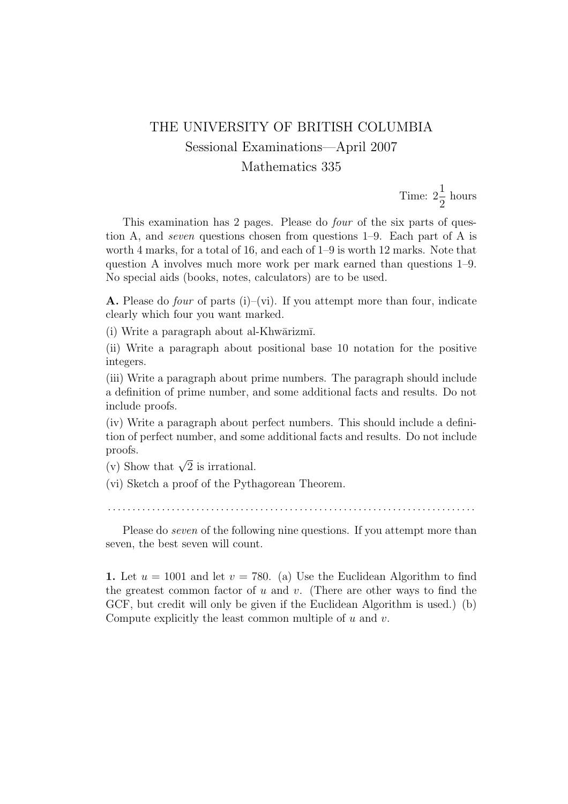## THE UNIVERSITY OF BRITISH COLUMBIA Sessional Examinations—April 2007 Mathematics 335

Time:  $2\frac{1}{2}$ 2 hours

This examination has 2 pages. Please do four of the six parts of question A, and seven questions chosen from questions 1–9. Each part of A is worth 4 marks, for a total of 16, and each of 1–9 is worth 12 marks. Note that question A involves much more work per mark earned than questions 1–9. No special aids (books, notes, calculators) are to be used.

**A.** Please do *four* of parts (i)–(vi). If you attempt more than four, indicate clearly which four you want marked.

 $(i)$  Write a paragraph about al-Khwārizmī.

(ii) Write a paragraph about positional base 10 notation for the positive integers.

(iii) Write a paragraph about prime numbers. The paragraph should include a definition of prime number, and some additional facts and results. Do not include proofs.

(iv) Write a paragraph about perfect numbers. This should include a definition of perfect number, and some additional facts and results. Do not include proofs.

(v) Show that  $\sqrt{2}$  is irrational.

(vi) Sketch a proof of the Pythagorean Theorem.

. . . . . . . . . . . . . . . . . . . . . . . . . . . . . . . . . . . . . . . . . . . . . . . . . . . . . . . . . . . . . . . . . . . . . . . . . . .

Please do seven of the following nine questions. If you attempt more than seven, the best seven will count.

1. Let  $u = 1001$  and let  $v = 780$ . (a) Use the Euclidean Algorithm to find the greatest common factor of  $u$  and  $v$ . (There are other ways to find the GCF, but credit will only be given if the Euclidean Algorithm is used.) (b) Compute explicitly the least common multiple of  $u$  and  $v$ .